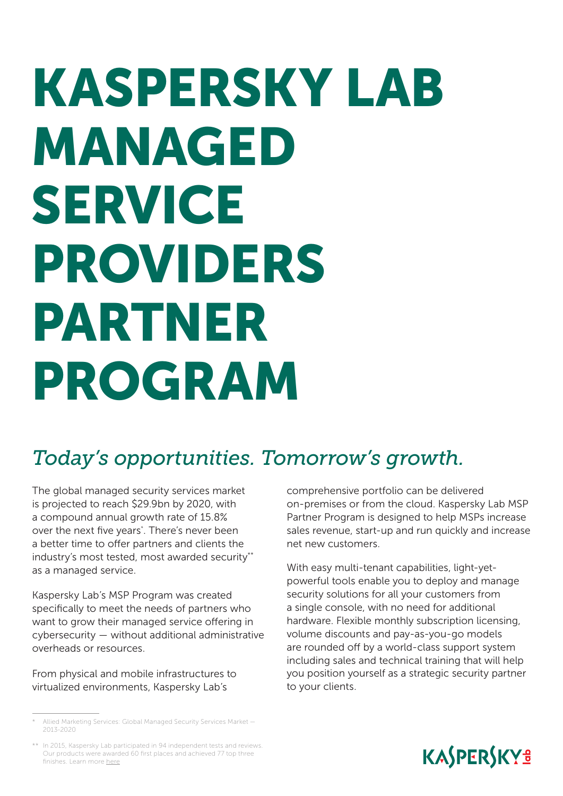# KASPERSKY LAB MANAGED SERVICE PROVIDERS PARTNER PROGRAM

## *Today's opportunities. Tomorrow's growth.*

The global managed security services market is projected to reach \$29.9bn by 2020, with a compound annual growth rate of 15.8% over the next five years\* . There's never been a better time to offer partners and clients the industry's most tested, most awarded security\*\* as a managed service.

Kaspersky Lab's MSP Program was created specifically to meet the needs of partners who want to grow their managed service offering in cybersecurity — without additional administrative overheads or resources.

From physical and mobile infrastructures to virtualized environments, Kaspersky Lab's

comprehensive portfolio can be delivered on-premises or from the cloud. Kaspersky Lab MSP Partner Program is designed to help MSPs increase sales revenue, start-up and run quickly and increase net new customers.

With easy multi-tenant capabilities, light-yetpowerful tools enable you to deploy and manage security solutions for all your customers from a single console, with no need for additional hardware. Flexible monthly subscription licensing, volume discounts and pay-as-you-go models are rounded off by a world-class support system including sales and technical training that will help you position yourself as a strategic security partner to your clients.



<sup>\*</sup> Allied Marketing Services: Global Managed Security Services Market — 2013-2020

<sup>\*\*</sup> In 2015, Kaspersky Lab participated in 94 independent tests and reviews. Our products were awarded 60 first places and achieved 77 top three finishes. Learn more [here](http://www.kaspersky.com/top3)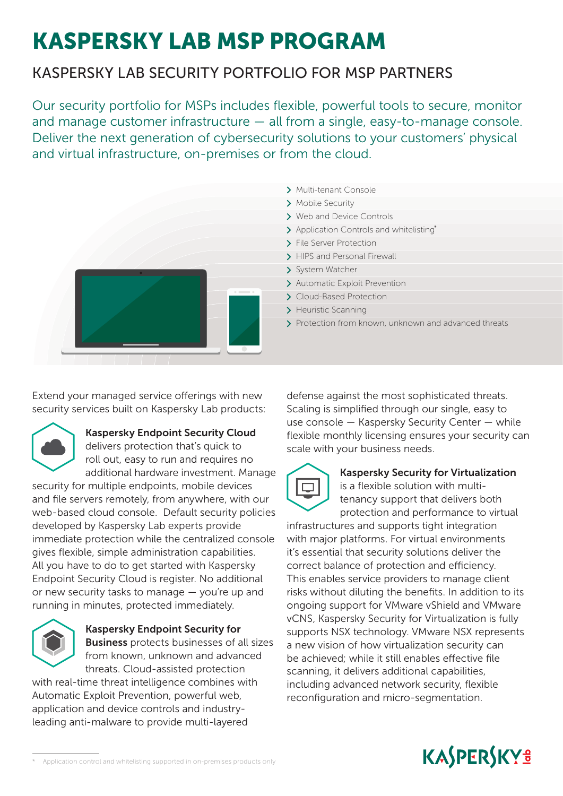# KASPERSKY LAB MSP PROGRAM

## KASPERSKY LAB SECURITY PORTFOLIO FOR MSP PARTNERS

Our security portfolio for MSPs includes flexible, powerful tools to secure, monitor and manage customer infrastructure — all from a single, easy-to-manage console. Deliver the next generation of cybersecurity solutions to your customers' physical and virtual infrastructure, on-premises or from the cloud.



- > Multi-tenant Console
- > Mobile Security
- > Web and Device Controls
- Application Controls and whitelisting<sup>\*</sup>
- > File Server Protection
- > HIPS and Personal Firewall
- > System Watcher
- > Automatic Exploit Prevention
- Cloud-Based Protection
- > Heuristic Scanning
- > Protection from known, unknown and advanced threats

Extend your managed service offerings with new\* security services built on Kaspersky Lab products:



#### Kaspersky Endpoint Security Cloud

delivers protection that's quick to roll out, easy to run and requires no additional hardware investment. Manage

security for multiple endpoints, mobile devices and file servers remotely, from anywhere, with our web-based cloud console. Default security policies developed by Kaspersky Lab experts provide immediate protection while the centralized console gives flexible, simple administration capabilities. All you have to do to get started with Kaspersky Endpoint Security Cloud is register. No additional or new security tasks to manage — you're up and running in minutes, protected immediately.



Kaspersky Endpoint Security for Business protects businesses of all sizes from known, unknown and advanced threats. Cloud-assisted protection

with real-time threat intelligence combines with Automatic Exploit Prevention, powerful web, application and device controls and industryleading anti-malware to provide multi-layered

defense against the most sophisticated threats. Scaling is simplified through our single, easy to use console — Kaspersky Security Center — while flexible monthly licensing ensures your security can scale with your business needs.



#### Kaspersky Security for Virtualization

is a flexible solution with multitenancy support that delivers both protection and performance to virtual

infrastructures and supports tight integration with major platforms. For virtual environments it's essential that security solutions deliver the correct balance of protection and efficiency. This enables service providers to manage client risks without diluting the benefits. In addition to its ongoing support for VMware vShield and VMware vCNS, Kaspersky Security for Virtualization is fully supports NSX technology. VMware NSX represents a new vision of how virtualization security can be achieved; while it still enables effective file scanning, it delivers additional capabilities, including advanced network security, flexible reconfiguration and micro-segmentation.



Application control and whitelisting supported in on-premises products only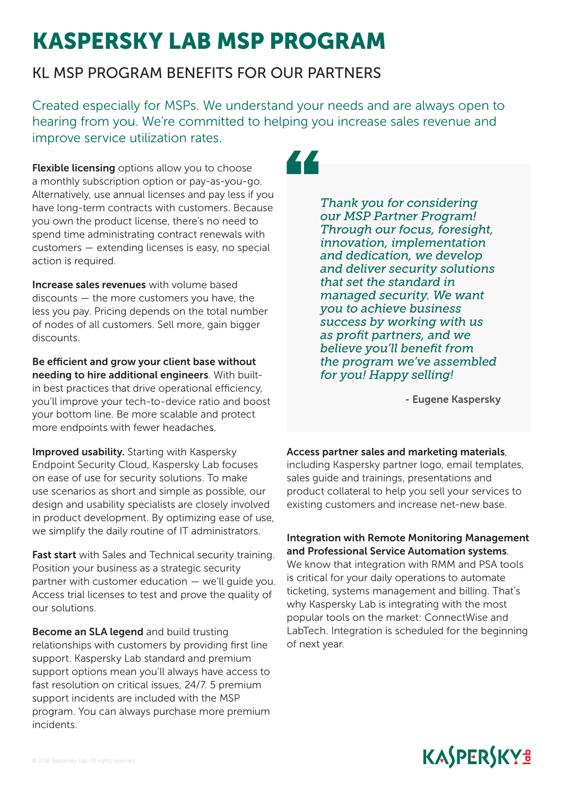# KASPERSKY LAB MSP PROGRAM

## KL MSP PROGRAM BENEFITS FOR OUR PARTNERS

Created especially for MSPs. We understand your needs and are always open to hearing from you. We're committed to helping you increase sales revenue and improve service utilization rates.

Flexible licensing options allow you to choose a monthly subscription option or pay-as-you-go. Alternatively, use annual licenses and pay less if you have long-term contracts with customers. Because you own the product license, there's no need to spend time administrating contract renewals with customers — extending licenses is easy, no special action is required.

Increase sales revenues with volume based discounts — the more customers you have, the less you pay. Pricing depends on the total number of nodes of all customers. Sell more, gain bigger discounts.

Be efficient and grow your client base without needing to hire additional engineers. With builtin best practices that drive operational efficiency, you'll improve your tech-to-device ratio and boost your bottom line. Be more scalable and protect more endpoints with fewer headaches.

Improved usability. Starting with Kaspersky Endpoint Security Cloud, Kaspersky Lab focuses on ease of use for security solutions. To make use scenarios as short and simple as possible, our design and usability specialists are closely involved in product development. By optimizing ease of use, we simplify the daily routine of IT administrators.

Fast start with Sales and Technical security training. Position your business as a strategic security partner with customer education — we'll guide you. Access trial licenses to test and prove the quality of our solutions.

Become an SLA legend and build trusting relationships with customers by providing first line support. Kaspersky Lab standard and premium support options mean you'll always have access to fast resolution on critical issues, 24/7. 5 premium support incidents are included with the MSP program. You can always purchase more premium incidents.

ZZ.

*Thank you for considering our MSP Partner Program! Through our focus, foresight, innovation, implementation and dedication, we develop and deliver security solutions that set the standard in managed security. We want you to achieve business success by working with us as profit partners, and we believe you'll benefit from the program we've assembled for you! Happy selling!*

- Eugene Kaspersky

#### Access partner sales and marketing materials,

including Kaspersky partner logo, email templates, sales guide and trainings, presentations and product collateral to help you sell your services to existing customers and increase net-new base.

#### Integration with Remote Monitoring Management and Professional Service Automation systems.

We know that integration with RMM and PSA tools is critical for your daily operations to automate ticketing, systems management and billing. That's why Kaspersky Lab is integrating with the most popular tools on the market: ConnectWise and LabTech. Integration is scheduled for the beginning of next year.